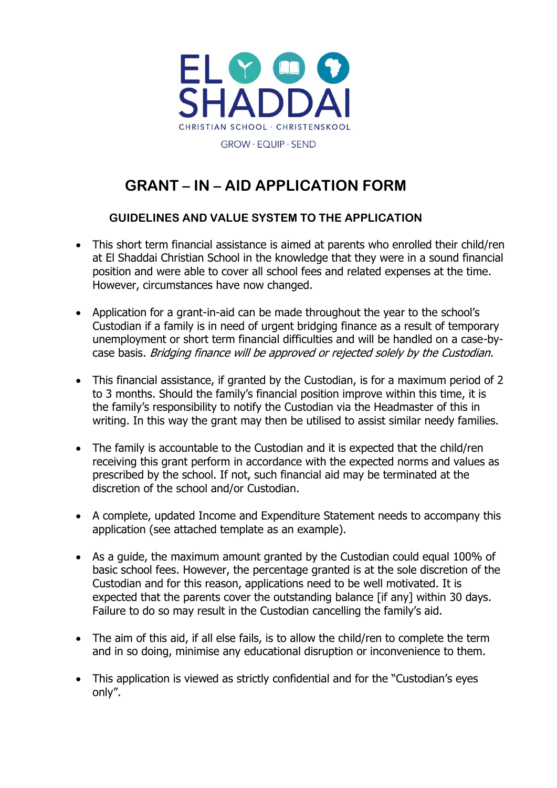

# **GRANT – IN – AID APPLICATION FORM**

#### **GUIDELINES AND VALUE SYSTEM TO THE APPLICATION**

- This short term financial assistance is aimed at parents who enrolled their child/ren at El Shaddai Christian School in the knowledge that they were in a sound financial position and were able to cover all school fees and related expenses at the time. However, circumstances have now changed.
- Application for a grant-in-aid can be made throughout the year to the school's Custodian if a family is in need of urgent bridging finance as a result of temporary unemployment or short term financial difficulties and will be handled on a case-bycase basis. Bridging finance will be approved or rejected solely by the Custodian.
- This financial assistance, if granted by the Custodian, is for a maximum period of 2 to 3 months. Should the family's financial position improve within this time, it is the family's responsibility to notify the Custodian via the Headmaster of this in writing. In this way the grant may then be utilised to assist similar needy families.
- The family is accountable to the Custodian and it is expected that the child/ren receiving this grant perform in accordance with the expected norms and values as prescribed by the school. If not, such financial aid may be terminated at the discretion of the school and/or Custodian.
- A complete, updated Income and Expenditure Statement needs to accompany this application (see attached template as an example).
- As a guide, the maximum amount granted by the Custodian could equal 100% of basic school fees. However, the percentage granted is at the sole discretion of the Custodian and for this reason, applications need to be well motivated. It is expected that the parents cover the outstanding balance [if any] within 30 days. Failure to do so may result in the Custodian cancelling the family's aid.
- The aim of this aid, if all else fails, is to allow the child/ren to complete the term and in so doing, minimise any educational disruption or inconvenience to them.
- This application is viewed as strictly confidential and for the "Custodian's eyes only".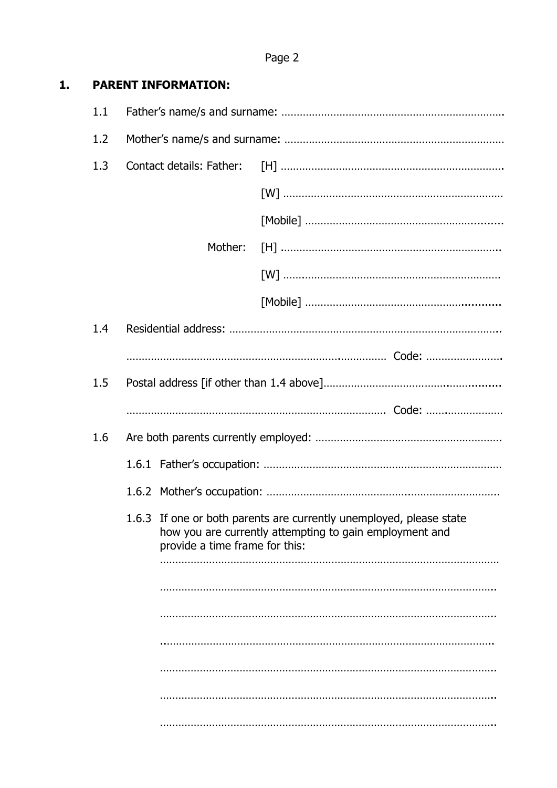## **1. PARENT INFORMATION:**

| 1.1 |                                                                                                                                                                  |         |  |  |
|-----|------------------------------------------------------------------------------------------------------------------------------------------------------------------|---------|--|--|
| 1.2 |                                                                                                                                                                  |         |  |  |
| 1.3 |                                                                                                                                                                  |         |  |  |
|     |                                                                                                                                                                  |         |  |  |
|     |                                                                                                                                                                  |         |  |  |
|     |                                                                                                                                                                  | Mother: |  |  |
|     |                                                                                                                                                                  |         |  |  |
|     |                                                                                                                                                                  |         |  |  |
| 1.4 |                                                                                                                                                                  |         |  |  |
|     |                                                                                                                                                                  |         |  |  |
| 1.5 |                                                                                                                                                                  |         |  |  |
|     |                                                                                                                                                                  |         |  |  |
| 1.6 |                                                                                                                                                                  |         |  |  |
|     |                                                                                                                                                                  |         |  |  |
|     |                                                                                                                                                                  |         |  |  |
|     | 1.6.3 If one or both parents are currently unemployed, please state<br>how you are currently attempting to gain employment and<br>provide a time frame for this: |         |  |  |
|     |                                                                                                                                                                  |         |  |  |
|     |                                                                                                                                                                  |         |  |  |
|     |                                                                                                                                                                  |         |  |  |
|     |                                                                                                                                                                  |         |  |  |
|     |                                                                                                                                                                  |         |  |  |
|     |                                                                                                                                                                  |         |  |  |
|     |                                                                                                                                                                  |         |  |  |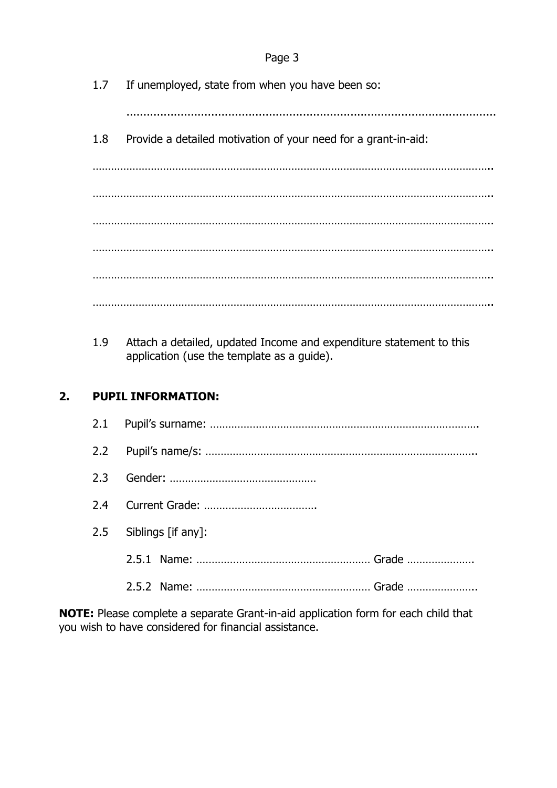1.7 If unemployed, state from when you have been so:

.............................................................................................................

1.8 Provide a detailed motivation of your need for a grant-in-aid:

………………………………………………………………………………………………………………….. ………………………………………………………………………………………………………………….. ………………………………………………………………………………………………………………….. ………………………………………………………………………………………………………………….. ………………………………………………………………………………………………………………….. …………………………………………………………………………………………………………………..

1.9 Attach a detailed, updated Income and expenditure statement to this application (use the template as a guide).

## **2. PUPIL INFORMATION:**

| 2.5 Siblings $[if any]$ : |  |  |  |  |
|---------------------------|--|--|--|--|
|                           |  |  |  |  |
|                           |  |  |  |  |

**NOTE:** Please complete a separate Grant-in-aid application form for each child that you wish to have considered for financial assistance.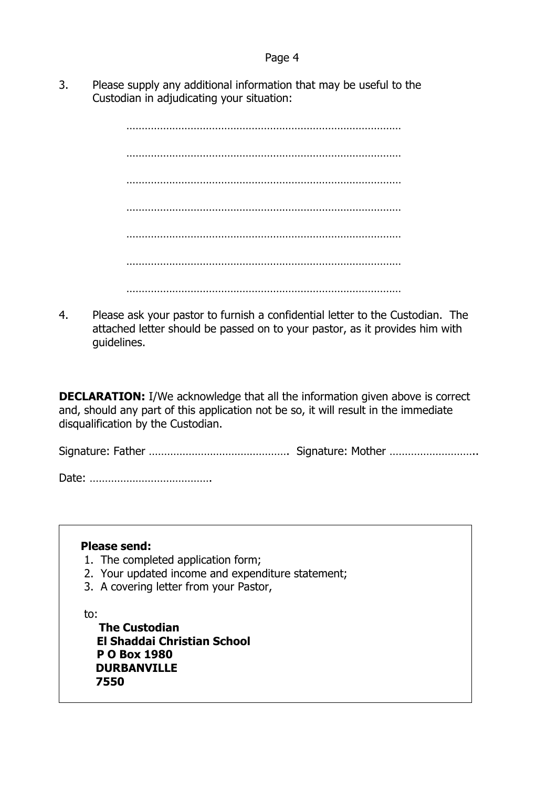3. Please supply any additional information that may be useful to the Custodian in adjudicating your situation:

> ……………………………………………………………………………… ……………………………………………………………………………… ………………………………………………………………………………  $\mathcal{L}^{\text{max}}$ ……………………………………………………………………………… ……………………………………………………………………………… ………………………………………………………………………………

4. Please ask your pastor to furnish a confidential letter to the Custodian. The attached letter should be passed on to your pastor, as it provides him with guidelines.

**DECLARATION:** I/We acknowledge that all the information given above is correct and, should any part of this application not be so, it will result in the immediate disqualification by the Custodian.

Signature: Father ………………………………………. Signature: Mother ………………………..

Date: ………………………………….

**Please send:**

- 1. The completed application form;
- 2. Your updated income and expenditure statement;
- 3. A covering letter from your Pastor,

to:

 **The Custodian El Shaddai Christian School P O Box 1980 DURBANVILLE 7550**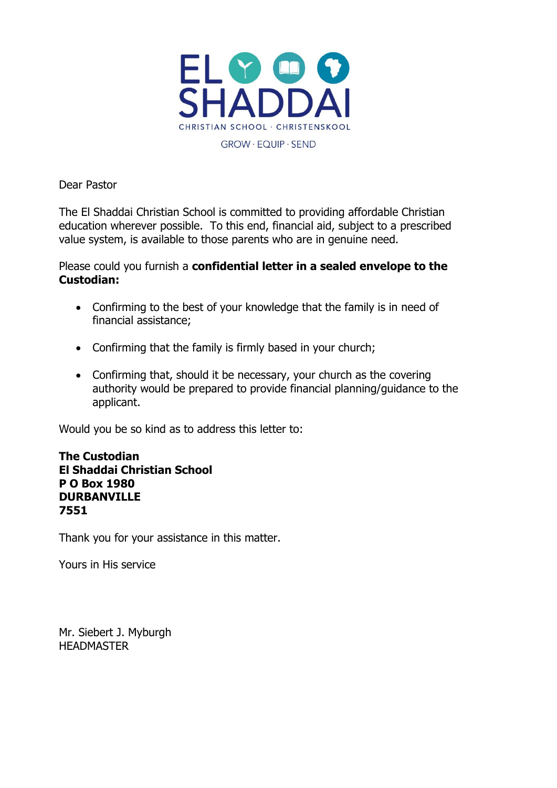

Dear Pastor

The El Shaddai Christian School is committed to providing affordable Christian education wherever possible. To this end, financial aid, subject to a prescribed value system, is available to those parents who are in genuine need.

Please could you furnish a **confidential letter in a sealed envelope to the Custodian:**

- Confirming to the best of your knowledge that the family is in need of financial assistance;
- Confirming that the family is firmly based in your church;
- Confirming that, should it be necessary, your church as the covering authority would be prepared to provide financial planning/guidance to the applicant.

Would you be so kind as to address this letter to:

#### **The Custodian El Shaddai Christian School P O Box 1980 DURBANVILLE 7551**

Thank you for your assistance in this matter.

Yours in His service

Mr. Siebert J. Myburgh **HEADMASTER**